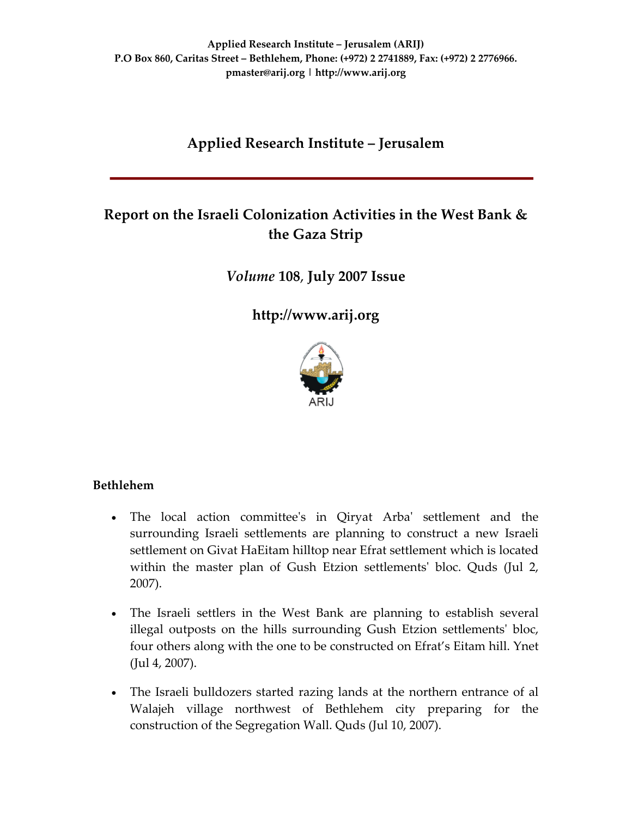## **Applied Research Institute – Jerusalem**

# **Report on the Israeli Colonization Activities in the West Bank & the Gaza Strip**

*Volume* **108**, **July 2007 Issue**

**[http://www.arij.org](http://www.arij.org/)**



### **Bethlehem**

- The local action committeeʹs in Qiryat Arbaʹ settlement and the surrounding Israeli settlements are planning to construct a new Israeli settlement on Givat HaEitam hilltop near Efrat settlement which is located within the master plan of Gush Etzion settlements' bloc. Quds (Jul 2, 2007).
- The Israeli settlers in the West Bank are planning to establish several illegal outposts on the hills surrounding Gush Etzion settlementsʹ bloc, four others along with the one to be constructed on Efrat's Eitam hill. Ynet (Jul 4, 2007).
- The Israeli bulldozers started razing lands at the northern entrance of al Walajeh village northwest of Bethlehem city preparing for the construction of the Segregation Wall. Quds (Jul 10, 2007).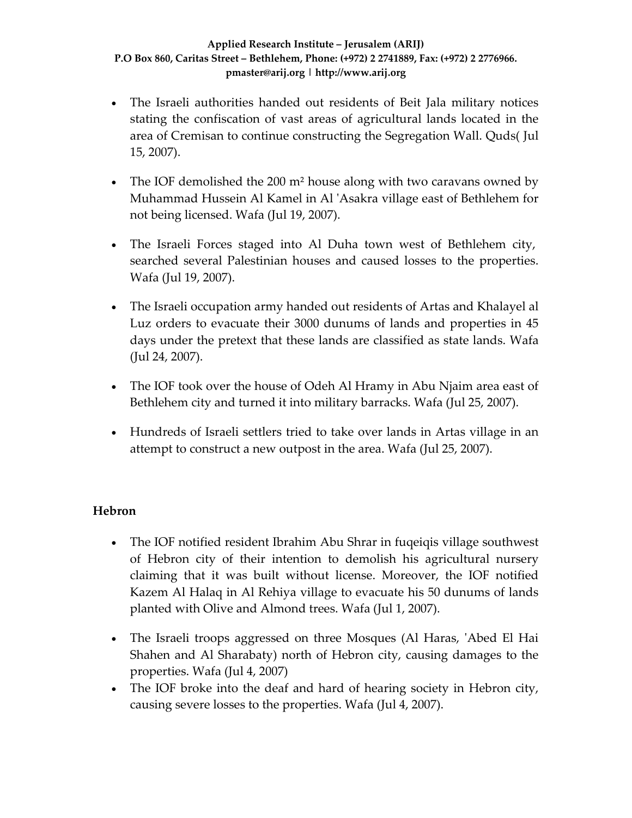- The Israeli authorities handed out residents of Beit Jala military notices stating the confiscation of vast areas of agricultural lands located in the area of Cremisan to continue constructing the Segregation Wall. Quds( Jul 15, 2007).
- The IOF demolished the 200 m<sup>2</sup> house along with two caravans owned by Muhammad Hussein Al Kamel in Al ʹAsakra village east of Bethlehem for not being licensed. Wafa (Jul 19, 2007).
- The Israeli Forces staged into Al Duha town west of Bethlehem city, searched several Palestinian houses and caused losses to the properties. Wafa (Jul 19, 2007).
- The Israeli occupation army handed out residents of Artas and Khalayel al Luz orders to evacuate their 3000 dunums of lands and properties in 45 days under the pretext that these lands are classified as state lands. Wafa (Jul 24, 2007).
- The IOF took over the house of Odeh Al Hramy in Abu Njaim area east of Bethlehem city and turned it into military barracks. Wafa (Jul 25, 2007).
- Hundreds of Israeli settlers tried to take over lands in Artas village in an attempt to construct a new outpost in the area. Wafa (Jul 25, 2007).

### **Hebron**

- The IOF notified resident Ibrahim Abu Shrar in fuqeiqis village southwest of Hebron city of their intention to demolish his agricultural nursery claiming that it was built without license. Moreover, the IOF notified Kazem Al Halaq in Al Rehiya village to evacuate his 50 dunums of lands planted with Olive and Almond trees. Wafa (Jul 1, 2007).
- The Israeli troops aggressed on three Mosques (Al Haras, 'Abed El Hai Shahen and Al Sharabaty) north of Hebron city, causing damages to the properties. Wafa (Jul 4, 2007)
- The IOF broke into the deaf and hard of hearing society in Hebron city, causing severe losses to the properties. Wafa (Jul 4, 2007).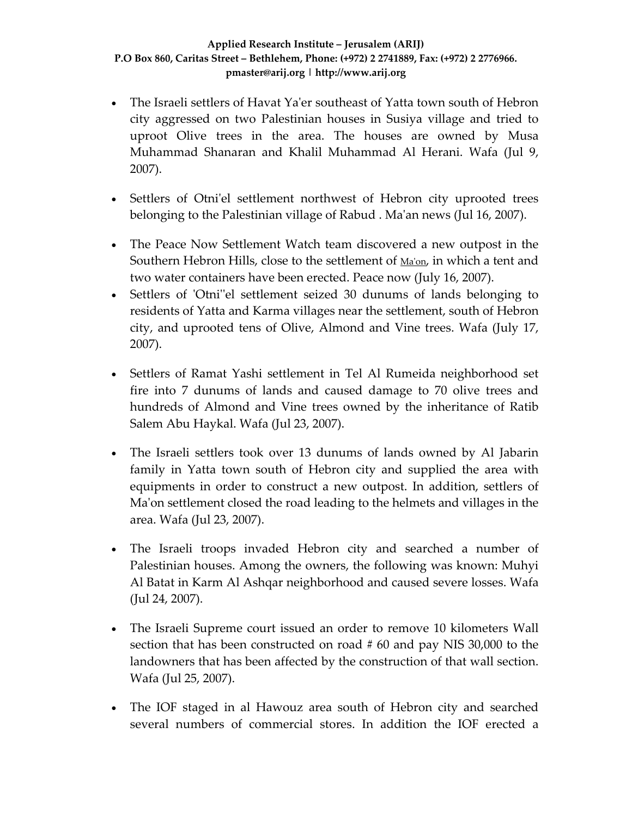- The Israeli settlers of Havat Ya'er southeast of Yatta town south of Hebron city aggressed on two Palestinian houses in Susiya village and tried to uproot Olive trees in the area. The houses are owned by Musa Muhammad Shanaran and Khalil Muhammad Al Herani. Wafa (Jul 9, 2007).
- Settlers of Otni'el settlement northwest of Hebron city uprooted trees belonging to the Palestinian village of Rabud . Maʹan news (Jul 16, 2007).
- The Peace Now Settlement Watch team discovered a new outpost in the Southern Hebron Hills, close to the settlement of [Ma](http://www.peacenow.org.il/site/en/peace.asp?pi=57&docid=255)'on, in which a tent and two water containers have been erected. Peace now (July 16, 2007).
- Settlers of 'Otni''el settlement seized 30 dunums of lands belonging to residents of Yatta and Karma villages near the settlement, south of Hebron city, and uprooted tens of Olive, Almond and Vine trees. Wafa (July 17, 2007).
- Settlers of Ramat Yashi settlement in Tel Al Rumeida neighborhood set fire into 7 dunums of lands and caused damage to 70 olive trees and hundreds of Almond and Vine trees owned by the inheritance of Ratib Salem Abu Haykal. Wafa (Jul 23, 2007).
- The Israeli settlers took over 13 dunums of lands owned by Al Jabarin family in Yatta town south of Hebron city and supplied the area with equipments in order to construct a new outpost. In addition, settlers of Maʹon settlement closed the road leading to the helmets and villages in the area. Wafa (Jul 23, 2007).
- The Israeli troops invaded Hebron city and searched a number of Palestinian houses. Among the owners, the following was known: Muhyi Al Batat in Karm Al Ashqar neighborhood and caused severe losses. Wafa (Jul 24, 2007).
- The Israeli Supreme court issued an order to remove 10 kilometers Wall section that has been constructed on road # 60 and pay NIS 30,000 to the landowners that has been affected by the construction of that wall section. Wafa (Jul 25, 2007).
- The IOF staged in al Hawouz area south of Hebron city and searched several numbers of commercial stores. In addition the IOF erected a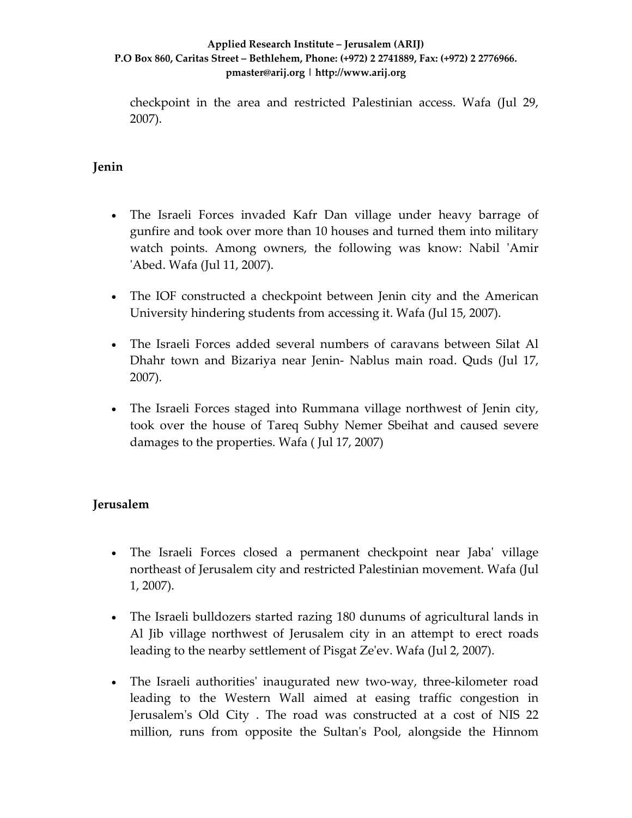checkpoint in the area and restricted Palestinian access. Wafa (Jul 29, 2007).

### **Jenin**

- The Israeli Forces invaded Kafr Dan village under heavy barrage of gunfire and took over more than 10 houses and turned them into military watch points. Among owners, the following was know: Nabil 'Amir ʹAbed. Wafa (Jul 11, 2007).
- The IOF constructed a checkpoint between Jenin city and the American University hindering students from accessing it. Wafa (Jul 15, 2007).
- The Israeli Forces added several numbers of caravans between Silat Al Dhahr town and Bizariya near Jenin‐ Nablus main road. Quds (Jul 17, 2007).
- The Israeli Forces staged into Rummana village northwest of Jenin city, took over the house of Tareq Subhy Nemer Sbeihat and caused severe damages to the properties. Wafa ( Jul 17, 2007)

### **Jerusalem**

- The Israeli Forces closed a permanent checkpoint near Jaba' village northeast of Jerusalem city and restricted Palestinian movement. Wafa (Jul 1, 2007).
- The Israeli bulldozers started razing 180 dunums of agricultural lands in Al Jib village northwest of Jerusalem city in an attempt to erect roads leading to the nearby settlement of Pisgat Zeʹev. Wafa (Jul 2, 2007).
- The Israeli authorities' inaugurated new two-way, three-kilometer road leading to the Western Wall aimed at easing traffic congestion in Jerusalem's Old City. The road was constructed at a cost of NIS 22 million, runs from opposite the Sultan's Pool, alongside the Hinnom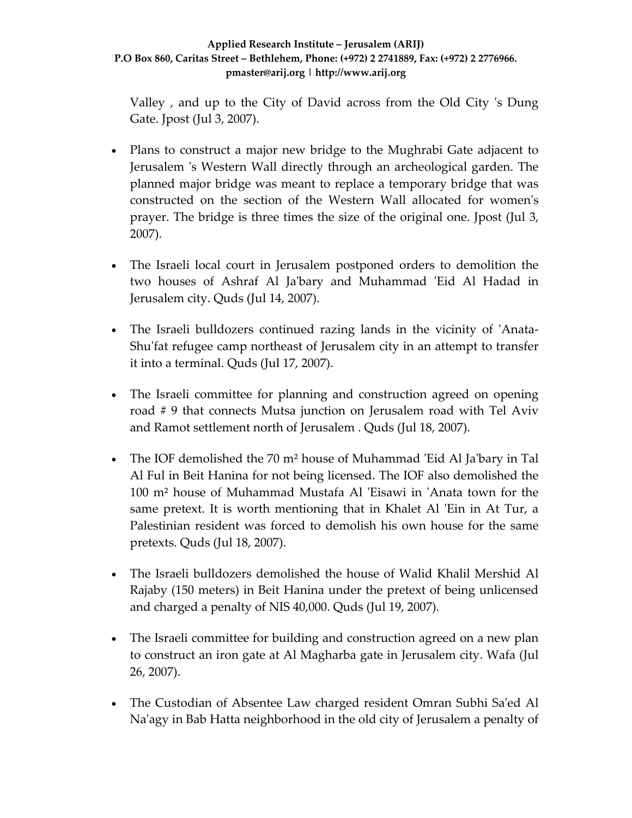Valley, and up to the City of David across from the Old City 's Dung Gate. Jpost (Jul 3, 2007).

- Plans to construct a major new bridge to the Mughrabi Gate adjacent to Jerusalem 's Western Wall directly through an archeological garden. The planned major bridge was meant to replace a temporary bridge that was constructed on the section of the Western Wall allocated for womenʹs prayer. The bridge is three times the size of the original one. Jpost (Jul 3, 2007).
- The Israeli local court in Jerusalem postponed orders to demolition the two houses of Ashraf Al Jaʹbary and Muhammad ʹEid Al Hadad in Jerusalem city. Quds (Jul 14, 2007).
- The Israeli bulldozers continued razing lands in the vicinity of 'Anata-Shu'fat refugee camp northeast of Jerusalem city in an attempt to transfer it into a terminal. Quds (Jul 17, 2007).
- The Israeli committee for planning and construction agreed on opening road # 9 that connects Mutsa junction on Jerusalem road with Tel Aviv and Ramot settlement north of Jerusalem . Quds (Jul 18, 2007).
- The IOF demolished the 70 m<sup>2</sup> house of Muhammad 'Eid Al Ja'bary in Tal Al Ful in Beit Hanina for not being licensed. The IOF also demolished the 100 m<sup>2</sup> house of Muhammad Mustafa Al 'Eisawi in 'Anata town for the same pretext. It is worth mentioning that in Khalet Al 'Ein in At Tur, a Palestinian resident was forced to demolish his own house for the same pretexts. Quds (Jul 18, 2007).
- The Israeli bulldozers demolished the house of Walid Khalil Mershid Al Rajaby (150 meters) in Beit Hanina under the pretext of being unlicensed and charged a penalty of NIS 40,000. Quds (Jul 19, 2007).
- The Israeli committee for building and construction agreed on a new plan to construct an iron gate at Al Magharba gate in Jerusalem city. Wafa (Jul 26, 2007).
- The Custodian of Absentee Law charged resident Omran Subhi Sa'ed Al Na'agy in Bab Hatta neighborhood in the old city of Jerusalem a penalty of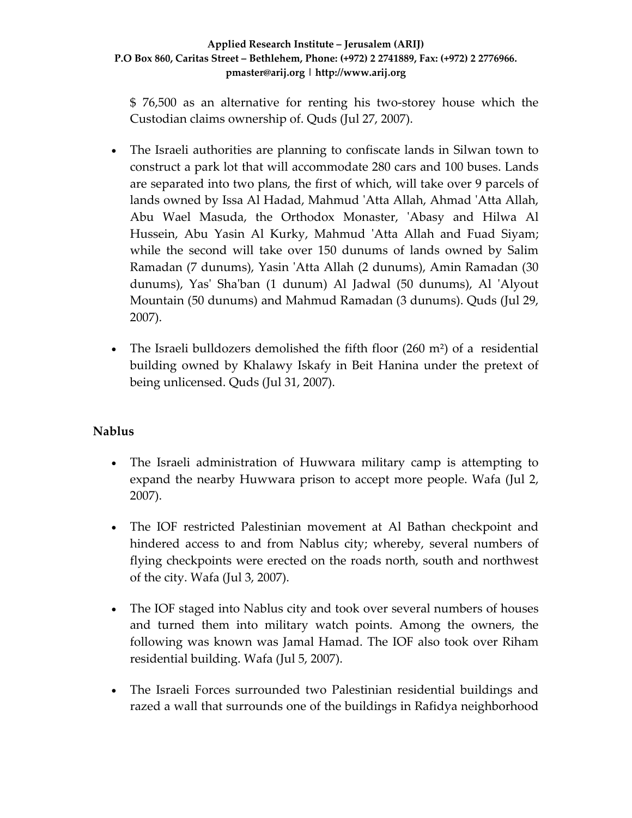\$ 76,500 as an alternative for renting his two‐storey house which the Custodian claims ownership of. Quds (Jul 27, 2007).

- The Israeli authorities are planning to confiscate lands in Silwan town to construct a park lot that will accommodate 280 cars and 100 buses. Lands are separated into two plans, the first of which, will take over 9 parcels of lands owned by Issa Al Hadad, Mahmud ʹAtta Allah, Ahmad ʹAtta Allah, Abu Wael Masuda, the Orthodox Monaster, ʹAbasy and Hilwa Al Hussein, Abu Yasin Al Kurky, Mahmud 'Atta Allah and Fuad Siyam; while the second will take over 150 dunums of lands owned by Salim Ramadan (7 dunums), Yasin ʹAtta Allah (2 dunums), Amin Ramadan (30 dunums), Yasʹ Shaʹban (1 dunum) Al Jadwal (50 dunums), Al ʹAlyout Mountain (50 dunums) and Mahmud Ramadan (3 dunums). Quds (Jul 29, 2007).
- The Israeli bulldozers demolished the fifth floor  $(260 \text{ m}^2)$  of a residential building owned by Khalawy Iskafy in Beit Hanina under the pretext of being unlicensed. Quds (Jul 31, 2007).

### **Nablus**

- The Israeli administration of Huwwara military camp is attempting to expand the nearby Huwwara prison to accept more people. Wafa (Jul 2, 2007).
- The IOF restricted Palestinian movement at Al Bathan checkpoint and hindered access to and from Nablus city; whereby, several numbers of flying checkpoints were erected on the roads north, south and northwest of the city. Wafa (Jul 3, 2007).
- The IOF staged into Nablus city and took over several numbers of houses and turned them into military watch points. Among the owners, the following was known was Jamal Hamad. The IOF also took over Riham residential building. Wafa (Jul 5, 2007).
- The Israeli Forces surrounded two Palestinian residential buildings and razed a wall that surrounds one of the buildings in Rafidya neighborhood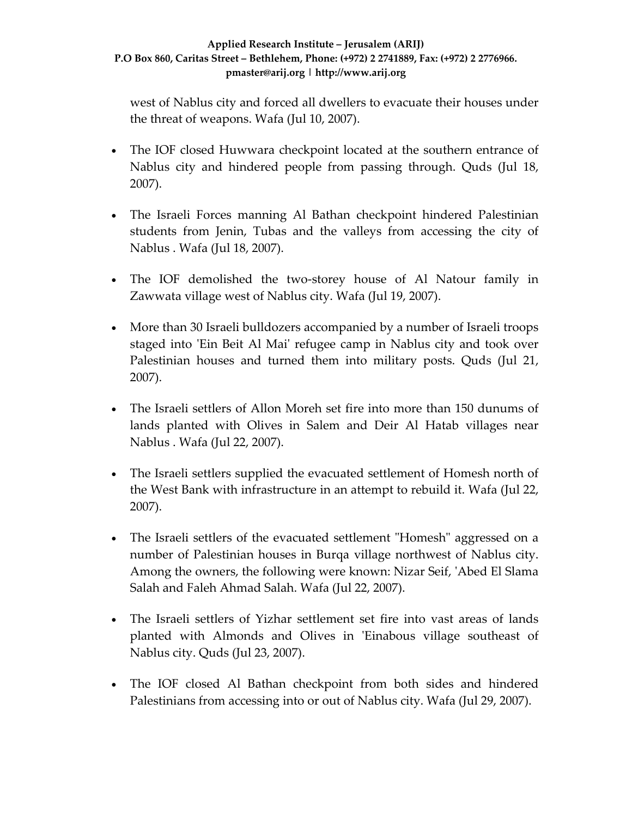west of Nablus city and forced all dwellers to evacuate their houses under the threat of weapons. Wafa (Jul 10, 2007).

- The IOF closed Huwwara checkpoint located at the southern entrance of Nablus city and hindered people from passing through. Quds (Jul 18, 2007).
- The Israeli Forces manning Al Bathan checkpoint hindered Palestinian students from Jenin, Tubas and the valleys from accessing the city of Nablus . Wafa (Jul 18, 2007).
- The IOF demolished the two-storey house of Al Natour family in Zawwata village west of Nablus city. Wafa (Jul 19, 2007).
- More than 30 Israeli bulldozers accompanied by a number of Israeli troops staged into 'Ein Beit Al Mai' refugee camp in Nablus city and took over Palestinian houses and turned them into military posts. Quds (Jul 21, 2007).
- The Israeli settlers of Allon Moreh set fire into more than 150 dunums of lands planted with Olives in Salem and Deir Al Hatab villages near Nablus . Wafa (Jul 22, 2007).
- The Israeli settlers supplied the evacuated settlement of Homesh north of the West Bank with infrastructure in an attempt to rebuild it. Wafa (Jul 22, 2007).
- The Israeli settlers of the evacuated settlement "Homesh" aggressed on a number of Palestinian houses in Burqa village northwest of Nablus city. Among the owners, the following were known: Nizar Seif, 'Abed El Slama Salah and Faleh Ahmad Salah. Wafa (Jul 22, 2007).
- The Israeli settlers of Yizhar settlement set fire into vast areas of lands planted with Almonds and Olives in 'Einabous village southeast of Nablus city. Quds (Jul 23, 2007).
- The IOF closed Al Bathan checkpoint from both sides and hindered Palestinians from accessing into or out of Nablus city. Wafa (Jul 29, 2007).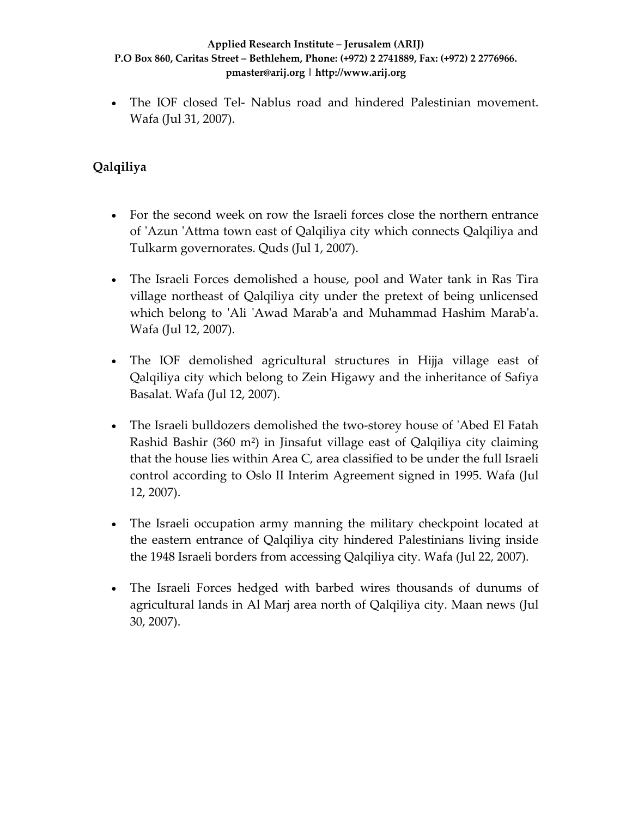• The IOF closed Tel- Nablus road and hindered Palestinian movement. Wafa (Jul 31, 2007).

## **Qalqiliya**

- For the second week on row the Israeli forces close the northern entrance of ʹAzun ʹAttma town east of Qalqiliya city which connects Qalqiliya and Tulkarm governorates. Quds (Jul 1, 2007).
- The Israeli Forces demolished a house, pool and Water tank in Ras Tira village northeast of Qalqiliya city under the pretext of being unlicensed which belong to 'Ali 'Awad Marab'a and Muhammad Hashim Marab'a. Wafa (Jul 12, 2007).
- The IOF demolished agricultural structures in Hijja village east of Qalqiliya city which belong to Zein Higawy and the inheritance of Safiya Basalat. Wafa (Jul 12, 2007).
- The Israeli bulldozers demolished the two-storey house of 'Abed El Fatah Rashid Bashir (360 m²) in Jinsafut village east of Qalqiliya city claiming that the house lies within Area C, area classified to be under the full Israeli control according to Oslo II Interim Agreement signed in 1995. Wafa (Jul 12, 2007).
- The Israeli occupation army manning the military checkpoint located at the eastern entrance of Qalqiliya city hindered Palestinians living inside the 1948 Israeli borders from accessing Qalqiliya city. Wafa (Jul 22, 2007).
- The Israeli Forces hedged with barbed wires thousands of dunums of agricultural lands in Al Marj area north of Qalqiliya city. Maan news (Jul 30, 2007).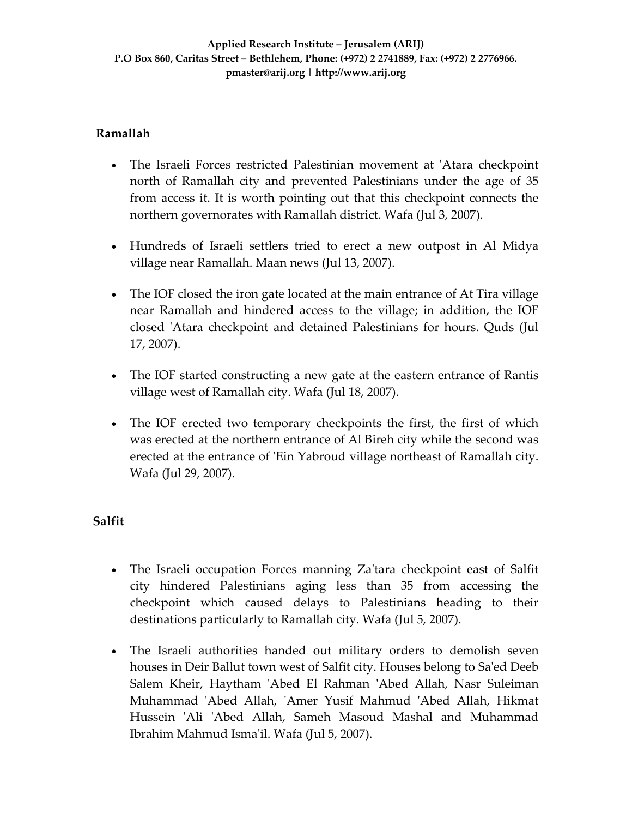### **Ramallah**

- The Israeli Forces restricted Palestinian movement at 'Atara checkpoint north of Ramallah city and prevented Palestinians under the age of 35 from access it. It is worth pointing out that this checkpoint connects the northern governorates with Ramallah district. Wafa (Jul 3, 2007).
- Hundreds of Israeli settlers tried to erect a new outpost in Al Midya village near Ramallah. Maan news (Jul 13, 2007).
- The IOF closed the iron gate located at the main entrance of At Tira village near Ramallah and hindered access to the village; in addition, the IOF closed ʹAtara checkpoint and detained Palestinians for hours. Quds (Jul 17, 2007).
- The IOF started constructing a new gate at the eastern entrance of Rantis village west of Ramallah city. Wafa (Jul 18, 2007).
- The IOF erected two temporary checkpoints the first, the first of which was erected at the northern entrance of Al Bireh city while the second was erected at the entrance of 'Ein Yabroud village northeast of Ramallah city. Wafa (Jul 29, 2007).

### **Salfit**

- The Israeli occupation Forces manning Za'tara checkpoint east of Salfit city hindered Palestinians aging less than 35 from accessing the checkpoint which caused delays to Palestinians heading to their destinations particularly to Ramallah city. Wafa (Jul 5, 2007).
- The Israeli authorities handed out military orders to demolish seven houses in Deir Ballut town west of Salfit city. Houses belong to Sa'ed Deeb Salem Kheir, Haytham ʹAbed El Rahman ʹAbed Allah, Nasr Suleiman Muhammad ʹAbed Allah, ʹAmer Yusif Mahmud ʹAbed Allah, Hikmat Hussein 'Ali 'Abed Allah, Sameh Masoud Mashal and Muhammad Ibrahim Mahmud Ismaʹil. Wafa (Jul 5, 2007).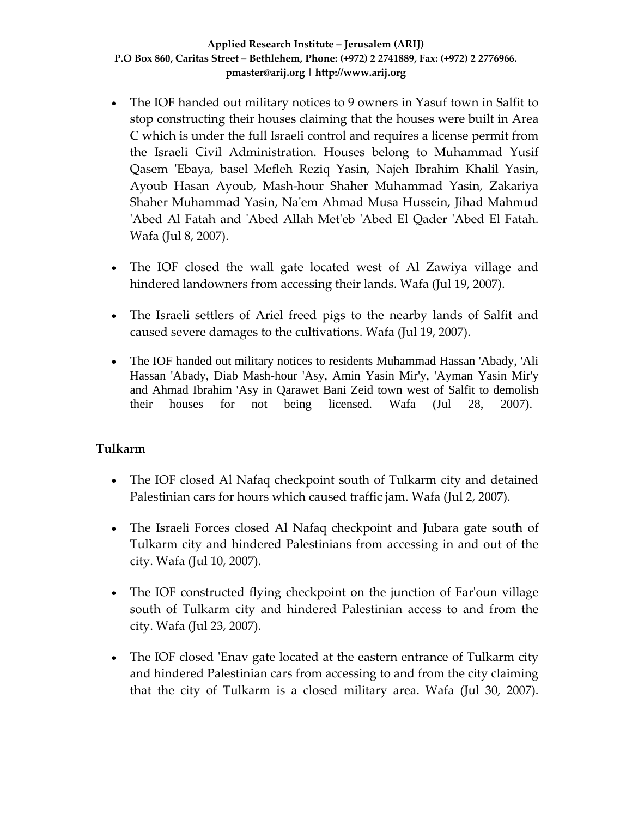- The IOF handed out military notices to 9 owners in Yasuf town in Salfit to stop constructing their houses claiming that the houses were built in Area C which is under the full Israeli control and requires a license permit from the Israeli Civil Administration. Houses belong to Muhammad Yusif Qasem 'Ebaya, basel Mefleh Reziq Yasin, Najeh Ibrahim Khalil Yasin, Ayoub Hasan Ayoub, Mash‐hour Shaher Muhammad Yasin, Zakariya Shaher Muhammad Yasin, Naʹem Ahmad Musa Hussein, Jihad Mahmud 'Abed Al Fatah and 'Abed Allah Met'eb 'Abed El Qader 'Abed El Fatah. Wafa (Jul 8, 2007).
- The IOF closed the wall gate located west of Al Zawiya village and hindered landowners from accessing their lands. Wafa (Jul 19, 2007).
- The Israeli settlers of Ariel freed pigs to the nearby lands of Salfit and caused severe damages to the cultivations. Wafa (Jul 19, 2007).
- The IOF handed out military notices to residents Muhammad Hassan 'Abady, 'Ali Hassan 'Abady, Diab Mash-hour 'Asy, Amin Yasin Mir'y, 'Ayman Yasin Mir'y and Ahmad Ibrahim 'Asy in Qarawet Bani Zeid town west of Salfit to demolish their houses for not being licensed. Wafa (Jul 28, 2007).

### **Tulkarm**

- The IOF closed Al Nafaq checkpoint south of Tulkarm city and detained Palestinian cars for hours which caused traffic jam. Wafa (Jul 2, 2007).
- The Israeli Forces closed Al Nafaq checkpoint and Jubara gate south of Tulkarm city and hindered Palestinians from accessing in and out of the city. Wafa (Jul 10, 2007).
- The IOF constructed flying checkpoint on the junction of Far'oun village south of Tulkarm city and hindered Palestinian access to and from the city. Wafa (Jul 23, 2007).
- The IOF closed 'Enav gate located at the eastern entrance of Tulkarm city and hindered Palestinian cars from accessing to and from the city claiming that the city of Tulkarm is a closed military area. Wafa (Jul 30, 2007).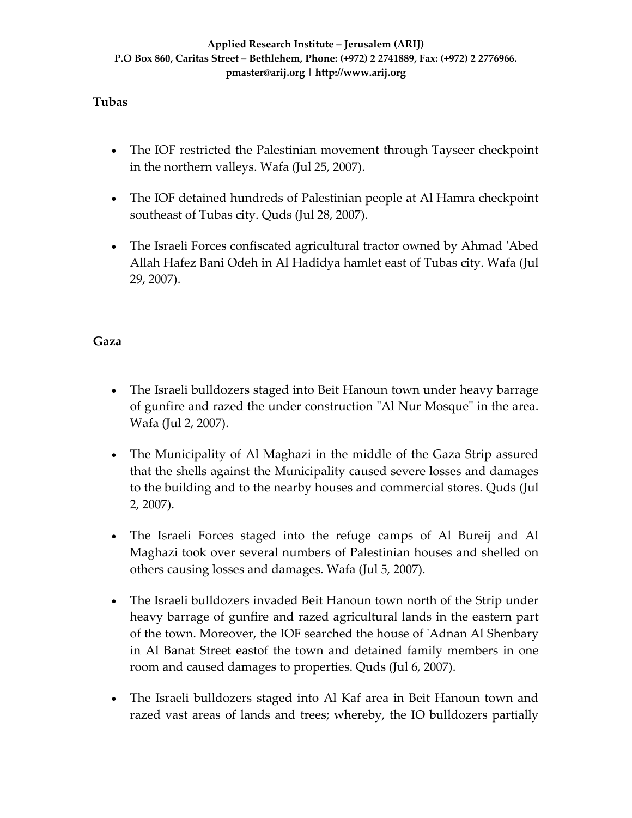### **Tubas**

- The IOF restricted the Palestinian movement through Tayseer checkpoint in the northern valleys. Wafa (Jul 25, 2007).
- The IOF detained hundreds of Palestinian people at Al Hamra checkpoint southeast of Tubas city. Quds (Jul 28, 2007).
- The Israeli Forces confiscated agricultural tractor owned by Ahmad 'Abed Allah Hafez Bani Odeh in Al Hadidya hamlet east of Tubas city. Wafa (Jul 29, 2007).

### **Gaza**

- The Israeli bulldozers staged into Beit Hanoun town under heavy barrage of gunfire and razed the under construction "Al Nur Mosque" in the area. Wafa (Jul 2, 2007).
- The Municipality of Al Maghazi in the middle of the Gaza Strip assured that the shells against the Municipality caused severe losses and damages to the building and to the nearby houses and commercial stores. Quds (Jul 2, 2007).
- The Israeli Forces staged into the refuge camps of Al Bureij and Al Maghazi took over several numbers of Palestinian houses and shelled on others causing losses and damages. Wafa (Jul 5, 2007).
- The Israeli bulldozers invaded Beit Hanoun town north of the Strip under heavy barrage of gunfire and razed agricultural lands in the eastern part of the town. Moreover, the IOF searched the house of ʹAdnan Al Shenbary in Al Banat Street eastof the town and detained family members in one room and caused damages to properties. Quds (Jul 6, 2007).
- The Israeli bulldozers staged into Al Kaf area in Beit Hanoun town and razed vast areas of lands and trees; whereby, the IO bulldozers partially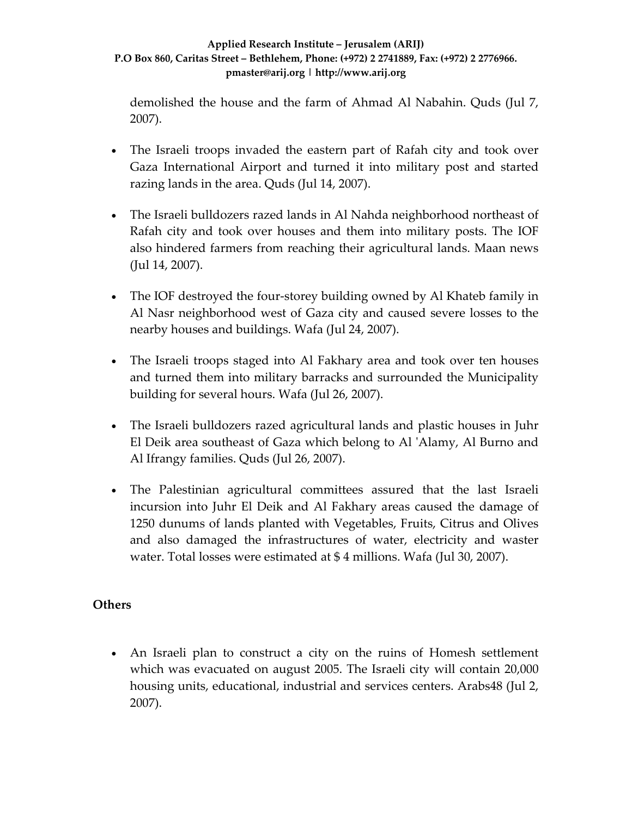demolished the house and the farm of Ahmad Al Nabahin. Quds (Jul 7, 2007).

- The Israeli troops invaded the eastern part of Rafah city and took over Gaza International Airport and turned it into military post and started razing lands in the area. Quds (Jul 14, 2007).
- The Israeli bulldozers razed lands in Al Nahda neighborhood northeast of Rafah city and took over houses and them into military posts. The IOF also hindered farmers from reaching their agricultural lands. Maan news (Jul 14, 2007).
- The IOF destroyed the four-storey building owned by Al Khateb family in Al Nasr neighborhood west of Gaza city and caused severe losses to the nearby houses and buildings. Wafa (Jul 24, 2007).
- The Israeli troops staged into Al Fakhary area and took over ten houses and turned them into military barracks and surrounded the Municipality building for several hours. Wafa (Jul 26, 2007).
- The Israeli bulldozers razed agricultural lands and plastic houses in Juhr El Deik area southeast of Gaza which belong to Al ʹAlamy, Al Burno and Al Ifrangy families. Quds (Jul 26, 2007).
- The Palestinian agricultural committees assured that the last Israeli incursion into Juhr El Deik and Al Fakhary areas caused the damage of 1250 dunums of lands planted with Vegetables, Fruits, Citrus and Olives and also damaged the infrastructures of water, electricity and waster water. Total losses were estimated at \$ 4 millions. Wafa (Jul 30, 2007).

### **Others**

• An Israeli plan to construct a city on the ruins of Homesh settlement which was evacuated on august 2005. The Israeli city will contain 20,000 housing units, educational, industrial and services centers. Arabs48 (Jul 2, 2007).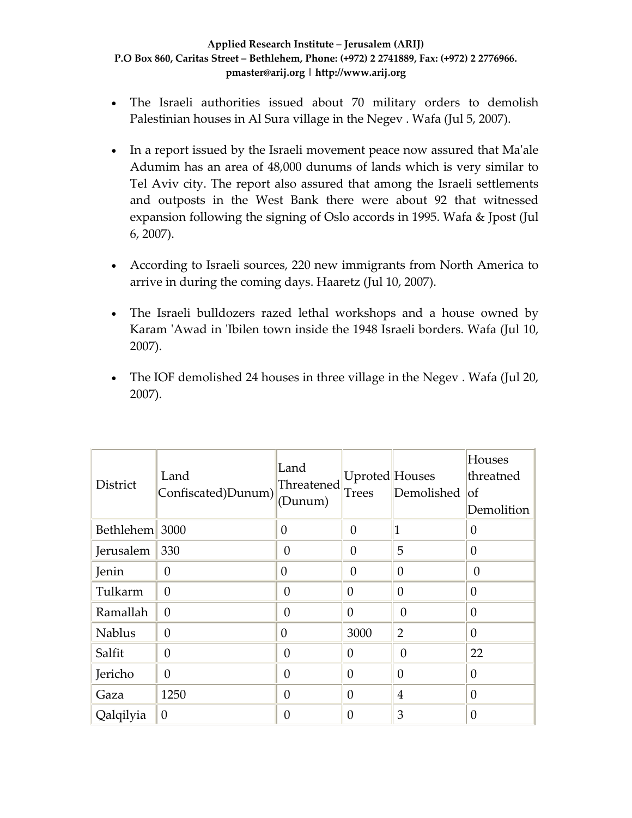- The Israeli authorities issued about 70 military orders to demolish Palestinian houses in Al Sura village in the Negev . Wafa (Jul 5, 2007).
- In a report issued by the Israeli movement peace now assured that Ma'ale Adumim has an area of 48,000 dunums of lands which is very similar to Tel Aviv city. The report also assured that among the Israeli settlements and outposts in the West Bank there were about 92 that witnessed expansion following the signing of Oslo accords in 1995. Wafa & Jpost (Jul 6, 2007).
- According to Israeli sources, 220 new immigrants from North America to arrive in during the coming days. Haaretz (Jul 10, 2007).
- The Israeli bulldozers razed lethal workshops and a house owned by Karam 'Awad in 'Ibilen town inside the 1948 Israeli borders. Wafa (Jul 10, 2007).
- The IOF demolished 24 houses in three village in the Negev. Wafa (Jul 20, 2007).

| District       | Land<br>Confiscated)Dunum) | Land<br>Threatened<br>(Dunum) | Uproted Houses<br><b>Trees</b> | Demolished     | Houses<br>threatned<br> of<br>Demolition |
|----------------|----------------------------|-------------------------------|--------------------------------|----------------|------------------------------------------|
| Bethlehem 3000 |                            | $\theta$                      | $\theta$                       |                | $\overline{0}$                           |
| Jerusalem      | 330                        | $\overline{0}$                | 0                              | 5              | $\overline{0}$                           |
| Jenin          | $\theta$                   | $\overline{0}$                | 0                              | $\theta$       | $\theta$                                 |
| Tulkarm        | $\overline{0}$             | $\overline{0}$                | $\theta$                       | $\overline{0}$ | $\overline{0}$                           |
| Ramallah       | $\theta$                   | $\theta$                      | $\Omega$                       | $\theta$       | $\theta$                                 |
| <b>Nablus</b>  | $\theta$                   | $\overline{0}$                | 3000                           | 2              | $\theta$                                 |
| Salfit         | $\theta$                   | $\theta$                      | $\theta$                       | $\theta$       | 22                                       |
| Jericho        | $\theta$                   | $\theta$                      | $\Omega$                       | $\theta$       | $\theta$                                 |
| Gaza           | 1250                       | $\theta$                      | $\theta$                       | $\overline{4}$ | $\overline{0}$                           |
| Qalqilyia      | $\theta$                   | 0                             | $\theta$                       | 3              | $\overline{0}$                           |